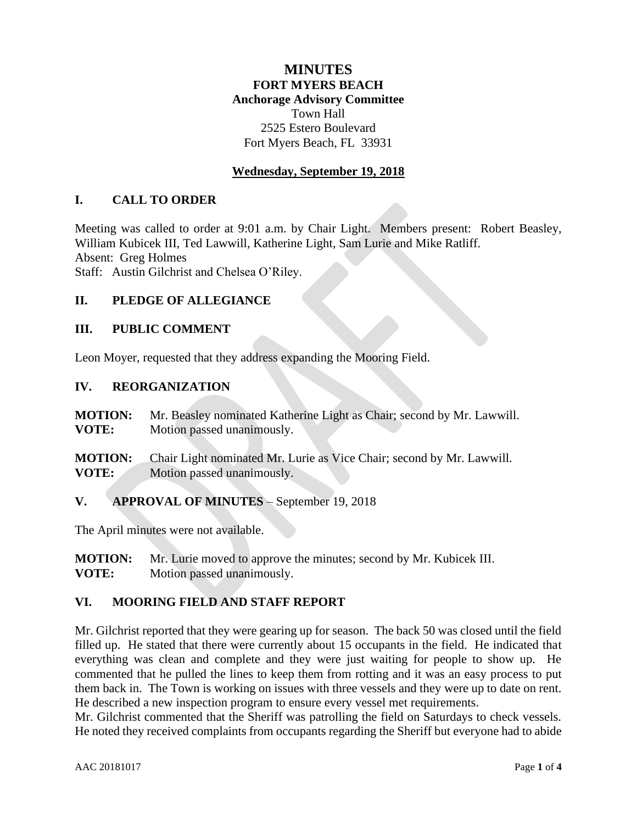# **MINUTES FORT MYERS BEACH Anchorage Advisory Committee** Town Hall 2525 Estero Boulevard Fort Myers Beach, FL 33931

## **Wednesday, September 19, 2018**

### **I. CALL TO ORDER**

Meeting was called to order at 9:01 a.m. by Chair Light. Members present: Robert Beasley, William Kubicek III, Ted Lawwill, Katherine Light, Sam Lurie and Mike Ratliff. Absent: Greg Holmes Staff: Austin Gilchrist and Chelsea O'Riley.

#### **II. PLEDGE OF ALLEGIANCE**

#### **III. PUBLIC COMMENT**

Leon Moyer, requested that they address expanding the Mooring Field.

#### **IV. REORGANIZATION**

| <b>MOTION:</b> | Mr. Beasley nominated Katherine Light as Chair; second by Mr. Lawwill. |
|----------------|------------------------------------------------------------------------|
| VOTE:          | Motion passed unanimously.                                             |

**MOTION:** Chair Light nominated Mr. Lurie as Vice Chair; second by Mr. Lawwill. **VOTE:** Motion passed unanimously.

**V. APPROVAL OF MINUTES** – September 19, 2018

The April minutes were not available.

**MOTION:** Mr. Lurie moved to approve the minutes; second by Mr. Kubicek III. **VOTE:** Motion passed unanimously.

#### **VI. MOORING FIELD AND STAFF REPORT**

Mr. Gilchrist reported that they were gearing up for season. The back 50 was closed until the field filled up. He stated that there were currently about 15 occupants in the field. He indicated that everything was clean and complete and they were just waiting for people to show up. He commented that he pulled the lines to keep them from rotting and it was an easy process to put them back in. The Town is working on issues with three vessels and they were up to date on rent. He described a new inspection program to ensure every vessel met requirements.

Mr. Gilchrist commented that the Sheriff was patrolling the field on Saturdays to check vessels. He noted they received complaints from occupants regarding the Sheriff but everyone had to abide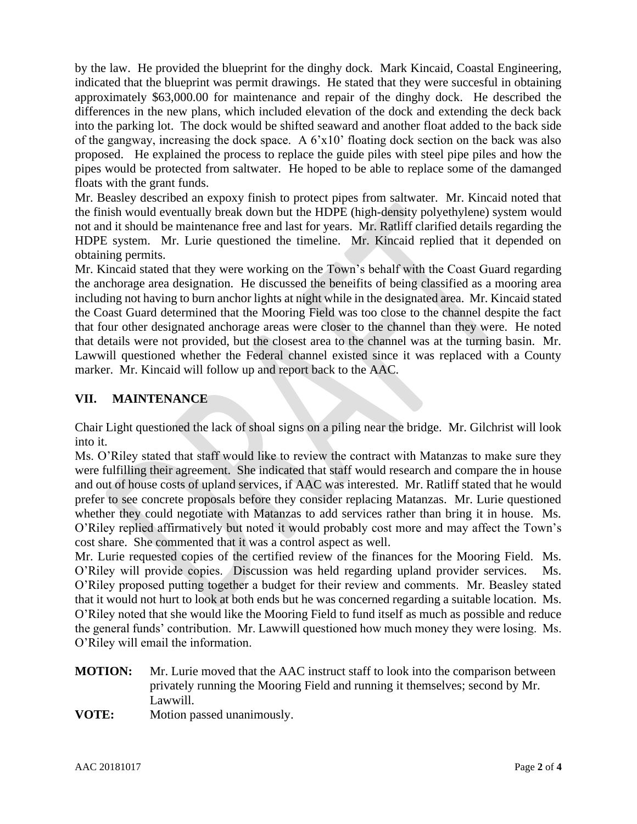by the law. He provided the blueprint for the dinghy dock. Mark Kincaid, Coastal Engineering, indicated that the blueprint was permit drawings. He stated that they were succesful in obtaining approximately \$63,000.00 for maintenance and repair of the dinghy dock. He described the differences in the new plans, which included elevation of the dock and extending the deck back into the parking lot. The dock would be shifted seaward and another float added to the back side of the gangway, increasing the dock space. A 6'x10' floating dock section on the back was also proposed. He explained the process to replace the guide piles with steel pipe piles and how the pipes would be protected from saltwater. He hoped to be able to replace some of the damanged floats with the grant funds.

Mr. Beasley described an expoxy finish to protect pipes from saltwater. Mr. Kincaid noted that the finish would eventually break down but the HDPE (high-density polyethylene) system would not and it should be maintenance free and last for years. Mr. Ratliff clarified details regarding the HDPE system. Mr. Lurie questioned the timeline. Mr. Kincaid replied that it depended on obtaining permits.

Mr. Kincaid stated that they were working on the Town's behalf with the Coast Guard regarding the anchorage area designation. He discussed the beneifits of being classified as a mooring area including not having to burn anchor lights at night while in the designated area. Mr. Kincaid stated the Coast Guard determined that the Mooring Field was too close to the channel despite the fact that four other designated anchorage areas were closer to the channel than they were. He noted that details were not provided, but the closest area to the channel was at the turning basin. Mr. Lawwill questioned whether the Federal channel existed since it was replaced with a County marker. Mr. Kincaid will follow up and report back to the AAC.

# **VII. MAINTENANCE**

Chair Light questioned the lack of shoal signs on a piling near the bridge. Mr. Gilchrist will look into it.

Ms. O'Riley stated that staff would like to review the contract with Matanzas to make sure they were fulfilling their agreement. She indicated that staff would research and compare the in house and out of house costs of upland services, if AAC was interested. Mr. Ratliff stated that he would prefer to see concrete proposals before they consider replacing Matanzas. Mr. Lurie questioned whether they could negotiate with Matanzas to add services rather than bring it in house. Ms. O'Riley replied affirmatively but noted it would probably cost more and may affect the Town's cost share. She commented that it was a control aspect as well.

Mr. Lurie requested copies of the certified review of the finances for the Mooring Field. Ms. O'Riley will provide copies. Discussion was held regarding upland provider services. Ms. O'Riley proposed putting together a budget for their review and comments. Mr. Beasley stated that it would not hurt to look at both ends but he was concerned regarding a suitable location. Ms. O'Riley noted that she would like the Mooring Field to fund itself as much as possible and reduce the general funds' contribution. Mr. Lawwill questioned how much money they were losing. Ms. O'Riley will email the information.

- **MOTION:** Mr. Lurie moved that the AAC instruct staff to look into the comparison between privately running the Mooring Field and running it themselves; second by Mr. Lawwill.
- **VOTE:** Motion passed unanimously.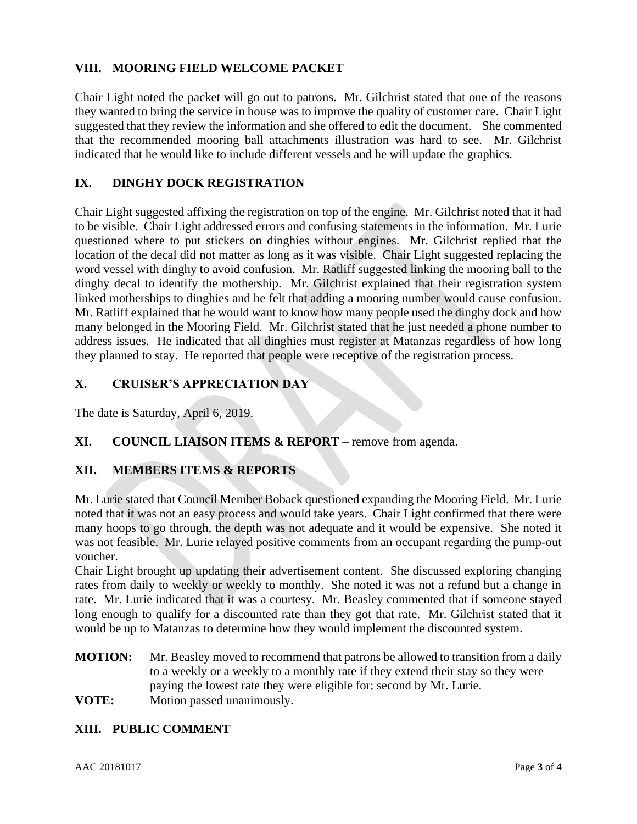# **VIII. MOORING FIELD WELCOME PACKET**

Chair Light noted the packet will go out to patrons. Mr. Gilchrist stated that one of the reasons they wanted to bring the service in house was to improve the quality of customer care. Chair Light suggested that they review the information and she offered to edit the document. She commented that the recommended mooring ball attachments illustration was hard to see. Mr. Gilchrist indicated that he would like to include different vessels and he will update the graphics.

## **IX. DINGHY DOCK REGISTRATION**

Chair Light suggested affixing the registration on top of the engine. Mr. Gilchrist noted that it had to be visible. Chair Light addressed errors and confusing statements in the information. Mr. Lurie questioned where to put stickers on dinghies without engines. Mr. Gilchrist replied that the location of the decal did not matter as long as it was visible. Chair Light suggested replacing the word vessel with dinghy to avoid confusion. Mr. Ratliff suggested linking the mooring ball to the dinghy decal to identify the mothership. Mr. Gilchrist explained that their registration system linked motherships to dinghies and he felt that adding a mooring number would cause confusion. Mr. Ratliff explained that he would want to know how many people used the dinghy dock and how many belonged in the Mooring Field. Mr. Gilchrist stated that he just needed a phone number to address issues. He indicated that all dinghies must register at Matanzas regardless of how long they planned to stay. He reported that people were receptive of the registration process.

## **X. CRUISER'S APPRECIATION DAY**

The date is Saturday, April 6, 2019.

# **XI. COUNCIL LIAISON ITEMS & REPORT** – remove from agenda.

### **XII. MEMBERS ITEMS & REPORTS**

Mr. Lurie stated that Council Member Boback questioned expanding the Mooring Field. Mr. Lurie noted that it was not an easy process and would take years. Chair Light confirmed that there were many hoops to go through, the depth was not adequate and it would be expensive. She noted it was not feasible. Mr. Lurie relayed positive comments from an occupant regarding the pump-out voucher.

Chair Light brought up updating their advertisement content. She discussed exploring changing rates from daily to weekly or weekly to monthly. She noted it was not a refund but a change in rate. Mr. Lurie indicated that it was a courtesy. Mr. Beasley commented that if someone stayed long enough to qualify for a discounted rate than they got that rate. Mr. Gilchrist stated that it would be up to Matanzas to determine how they would implement the discounted system.

**MOTION:** Mr. Beasley moved to recommend that patrons be allowed to transition from a daily to a weekly or a weekly to a monthly rate if they extend their stay so they were paying the lowest rate they were eligible for; second by Mr. Lurie. **VOTE:** Motion passed unanimously.

### **XIII. PUBLIC COMMENT**